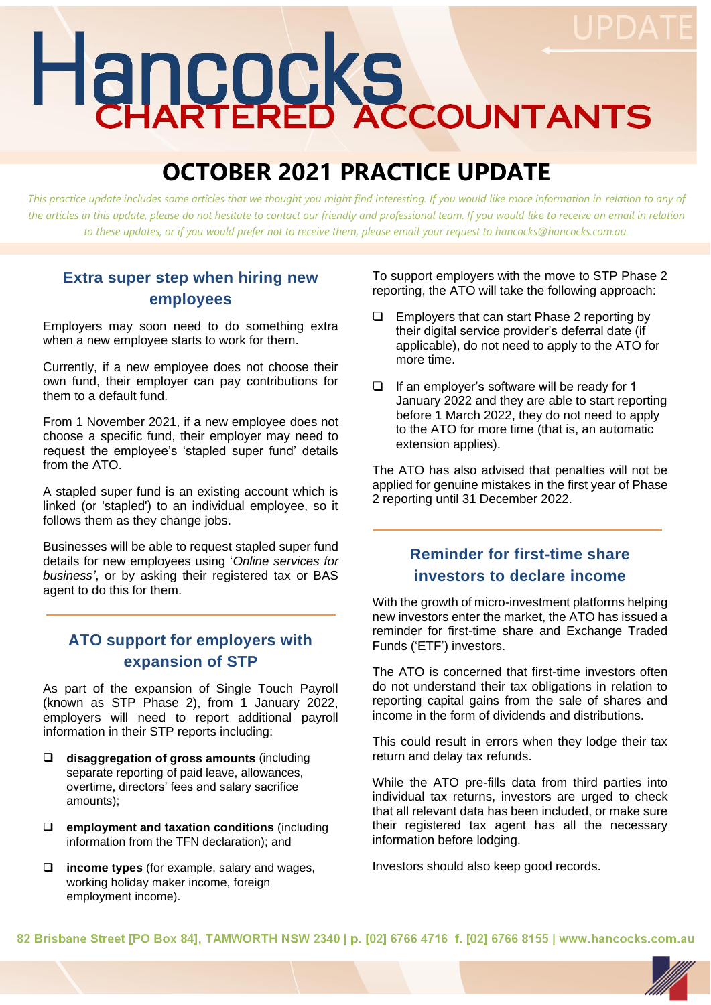# Hancocks

# **OCTOBER 2021 PRACTICE UPDATE**

*This practice update includes some articles that we thought you might find interesting. If you would like more information in relation to any of*  the articles in this update, please do not hesitate to contact our friendly and professional team. If you would like to receive an email in relation *to these updates, or if you would prefer not to receive them, please email your request to hancocks@hancocks.com.au.* 

#### **Extra super step when hiring new employees**

Employers may soon need to do something extra when a new employee starts to work for them.

Currently, if a new employee does not choose their own fund, their employer can pay contributions for them to a default fund.

From 1 November 2021, if a new employee does not choose a specific fund, their employer may need to request the employee's 'stapled super fund' details from the ATO.

A stapled super fund is an existing account which is linked (or 'stapled') to an individual employee, so it follows them as they change jobs.

Businesses will be able to request stapled super fund details for new employees using '*Online services for business'*, or by asking their registered tax or BAS agent to do this for them.

#### **ATO support for employers with expansion of STP**

As part of the expansion of Single Touch Payroll (known as STP Phase 2), from 1 January 2022, employers will need to report additional payroll information in their STP reports including:

- ❑ **disaggregation of gross amounts** (including separate reporting of paid leave, allowances, overtime, directors' fees and salary sacrifice amounts);
- ❑ **employment and taxation conditions** (including information from the TFN declaration); and
- ❑ **income types** (for example, salary and wages, working holiday maker income, foreign employment income).

To support employers with the move to STP Phase 2 reporting, the ATO will take the following approach:

- ❑ Employers that can start Phase 2 reporting by their digital service provider's deferral date (if applicable), do not need to apply to the ATO for more time.
- ❑ If an employer's software will be ready for 1 January 2022 and they are able to start reporting before 1 March 2022, they do not need to apply to the ATO for more time (that is, an automatic extension applies).

The ATO has also advised that penalties will not be applied for genuine mistakes in the first year of Phase 2 reporting until 31 December 2022.

#### **Reminder for first-time share investors to declare income**

With the growth of micro-investment platforms helping new investors enter the market, the ATO has issued a reminder for first-time share and Exchange Traded Funds ('ETF') investors.

The ATO is concerned that first-time investors often do not understand their tax obligations in relation to reporting capital gains from the sale of shares and income in the form of dividends and distributions.

This could result in errors when they lodge their tax return and delay tax refunds.

While the ATO pre-fills data from third parties into individual tax returns, investors are urged to check that all relevant data has been included, or make sure their registered tax agent has all the necessary information before lodging.

Investors should also keep good records.

82 Brisbane Street [PO Box 84], TAMWORTH NSW 2340 | p. [02] 6766 4716 f. [02] 6766 8155 | www.hancocks.com.au